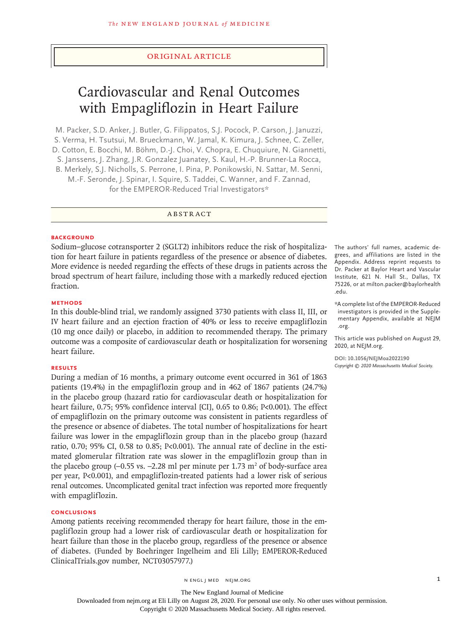# Original Article

# Cardiovascular and Renal Outcomes with Empagliflozin in Heart Failure

M. Packer, S.D. Anker, J. Butler, G. Filippatos, S.J. Pocock, P. Carson, J. Januzzi, S. Verma, H. Tsutsui, M. Brueckmann, W. Jamal, K. Kimura, J. Schnee, C. Zeller, D. Cotton, E. Bocchi, M. Böhm, D.-J. Choi, V. Chopra, E. Chuquiure, N. Giannetti, S. Janssens, J. Zhang, J.R. Gonzalez Juanatey, S. Kaul, H.-P. Brunner-La Rocca, B. Merkely, S.J. Nicholls, S. Perrone, I. Pina, P. Ponikowski, N. Sattar, M. Senni, M.-F. Seronde, J. Spinar, I. Squire, S. Taddei, C. Wanner, and F. Zannad, for the EMPEROR-Reduced Trial Investigators\*

ABSTRACT

#### **BACKGROUND**

Sodium–glucose cotransporter 2 (SGLT2) inhibitors reduce the risk of hospitalization for heart failure in patients regardless of the presence or absence of diabetes. More evidence is needed regarding the effects of these drugs in patients across the broad spectrum of heart failure, including those with a markedly reduced ejection fraction.

# **METHODS**

In this double-blind trial, we randomly assigned 3730 patients with class II, III, or IV heart failure and an ejection fraction of 40% or less to receive empagliflozin (10 mg once daily) or placebo, in addition to recommended therapy. The primary outcome was a composite of cardiovascular death or hospitalization for worsening heart failure.

#### **RESULTS**

During a median of 16 months, a primary outcome event occurred in 361 of 1863 patients (19.4%) in the empagliflozin group and in 462 of 1867 patients (24.7%) in the placebo group (hazard ratio for cardiovascular death or hospitalization for heart failure, 0.75; 95% confidence interval [CI], 0.65 to 0.86; P<0.001). The effect of empagliflozin on the primary outcome was consistent in patients regardless of the presence or absence of diabetes. The total number of hospitalizations for heart failure was lower in the empagliflozin group than in the placebo group (hazard ratio, 0.70; 95% CI, 0.58 to 0.85; P<0.001). The annual rate of decline in the estimated glomerular filtration rate was slower in the empagliflozin group than in the placebo group  $(-0.55 \text{ vs. } -2.28 \text{ ml} \text{ per minute per } 1.73 \text{ m}^2 \text{ of body-surface area}$ per year, P<0.001), and empagliflozin-treated patients had a lower risk of serious renal outcomes. Uncomplicated genital tract infection was reported more frequently with empagliflozin.

# **CONCLUSIONS**

Among patients receiving recommended therapy for heart failure, those in the empagliflozin group had a lower risk of cardiovascular death or hospitalization for heart failure than those in the placebo group, regardless of the presence or absence of diabetes. (Funded by Boehringer Ingelheim and Eli Lilly; EMPEROR-Reduced ClinicalTrials.gov number, [NCT03057977](http://clinicaltrials.gov/show/NCT03057977).)

The authors' full names, academic degrees, and affiliations are listed in the Appendix. Address reprint requests to Dr. Packer at Baylor Heart and Vascular Institute, 621 N. Hall St., Dallas, TX 75226, or at milton.packer@baylorhealth .edu.

\*A complete list of the EMPEROR-Reduced investigators is provided in the Supplementary Appendix, available at NEJM .org.

This article was published on August 29, 2020, at NEJM.org.

**DOI: 10.1056/NEJMoa2022190** *Copyright © 2020 Massachusetts Medical Society.*

The New England Journal of Medicine

Downloaded from nejm.org at Eli Lilly on August 28, 2020. For personal use only. No other uses without permission.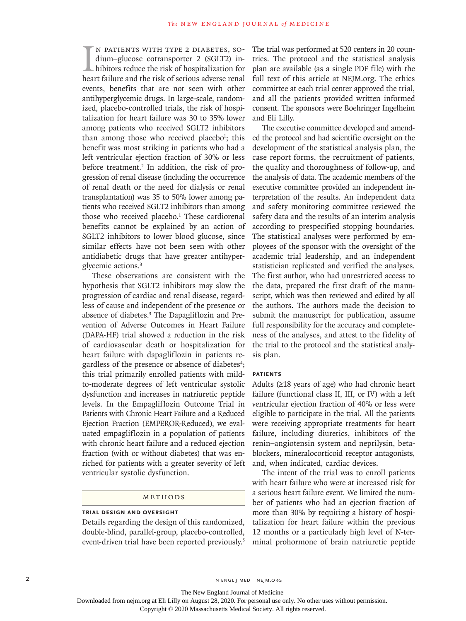N PATIENTS WITH TYPE 2 DIABETES, SO-<br>dium-glucose cotransporter 2 (SGLT2) in-<br>hibitors reduce the risk of hospitalization for<br>heart failure and the risk of serious adverse renal n patients with type 2 diabetes, sodium–glucose cotransporter 2 (SGLT2) inhibitors reduce the risk of hospitalization for events, benefits that are not seen with other antihyperglycemic drugs. In large-scale, randomized, placebo-controlled trials, the risk of hospitalization for heart failure was 30 to 35% lower among patients who received SGLT2 inhibitors than among those who received placebo<sup>1</sup>; this benefit was most striking in patients who had a left ventricular ejection fraction of 30% or less before treatment.<sup>2</sup> In addition, the risk of progression of renal disease (including the occurrence of renal death or the need for dialysis or renal transplantation) was 35 to 50% lower among patients who received SGLT2 inhibitors than among those who received placebo.<sup>1</sup> These cardiorenal benefits cannot be explained by an action of SGLT2 inhibitors to lower blood glucose, since similar effects have not been seen with other antidiabetic drugs that have greater antihyperglycemic actions.3

These observations are consistent with the hypothesis that SGLT2 inhibitors may slow the progression of cardiac and renal disease, regardless of cause and independent of the presence or absence of diabetes.<sup>3</sup> The Dapagliflozin and Prevention of Adverse Outcomes in Heart Failure (DAPA-HF) trial showed a reduction in the risk of cardiovascular death or hospitalization for heart failure with dapagliflozin in patients regardless of the presence or absence of diabetes<sup>4</sup>; this trial primarily enrolled patients with mildto-moderate degrees of left ventricular systolic dysfunction and increases in natriuretic peptide levels. In the Empagliflozin Outcome Trial in Patients with Chronic Heart Failure and a Reduced Ejection Fraction (EMPEROR-Reduced), we evaluated empagliflozin in a population of patients with chronic heart failure and a reduced ejection fraction (with or without diabetes) that was enriched for patients with a greater severity of left ventricular systolic dysfunction.

# Methods

# **Trial Design and Oversight**

Details regarding the design of this randomized, double-blind, parallel-group, placebo-controlled, event-driven trial have been reported previously.<sup>5</sup> The trial was performed at 520 centers in 20 countries. The protocol and the statistical analysis plan are available (as a single PDF file) with the full text of this article at NEJM.org. The ethics committee at each trial center approved the trial, and all the patients provided written informed consent. The sponsors were Boehringer Ingelheim and Eli Lilly.

The executive committee developed and amended the protocol and had scientific oversight on the development of the statistical analysis plan, the case report forms, the recruitment of patients, the quality and thoroughness of follow-up, and the analysis of data. The academic members of the executive committee provided an independent interpretation of the results. An independent data and safety monitoring committee reviewed the safety data and the results of an interim analysis according to prespecified stopping boundaries. The statistical analyses were performed by employees of the sponsor with the oversight of the academic trial leadership, and an independent statistician replicated and verified the analyses. The first author, who had unrestricted access to the data, prepared the first draft of the manuscript, which was then reviewed and edited by all the authors. The authors made the decision to submit the manuscript for publication, assume full responsibility for the accuracy and completeness of the analyses, and attest to the fidelity of the trial to the protocol and the statistical analysis plan.

#### **Patients**

Adults (≥18 years of age) who had chronic heart failure (functional class II, III, or IV) with a left ventricular ejection fraction of 40% or less were eligible to participate in the trial. All the patients were receiving appropriate treatments for heart failure, including diuretics, inhibitors of the renin–angiotensin system and neprilysin, betablockers, mineralocorticoid receptor antagonists, and, when indicated, cardiac devices.

The intent of the trial was to enroll patients with heart failure who were at increased risk for a serious heart failure event. We limited the number of patients who had an ejection fraction of more than 30% by requiring a history of hospitalization for heart failure within the previous 12 months or a particularly high level of N-terminal prohormone of brain natriuretic peptide

2 N ENGL J MED NEJM.ORG

The New England Journal of Medicine

Downloaded from nejm.org at Eli Lilly on August 28, 2020. For personal use only. No other uses without permission.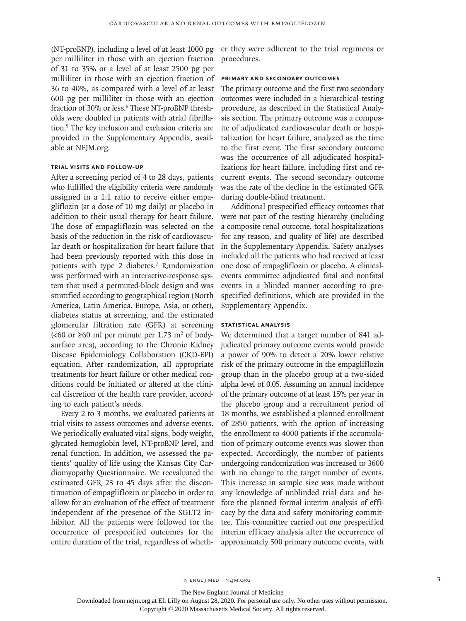per milliliter in those with an ejection fraction of 31 to 35% or a level of at least 2500 pg per milliliter in those with an ejection fraction of 36 to 40%, as compared with a level of at least 600 pg per milliliter in those with an ejection fraction of 30% or less.<sup>6</sup> These NT-proBNP thresholds were doubled in patients with atrial fibrillation.5 The key inclusion and exclusion criteria are provided in the Supplementary Appendix, available at NEJM.org.

# **Trial Visits and Follow-up**

After a screening period of 4 to 28 days, patients who fulfilled the eligibility criteria were randomly assigned in a 1:1 ratio to receive either empagliflozin (at a dose of 10 mg daily) or placebo in addition to their usual therapy for heart failure. The dose of empagliflozin was selected on the basis of the reduction in the risk of cardiovascular death or hospitalization for heart failure that had been previously reported with this dose in patients with type 2 diabetes.<sup>7</sup> Randomization was performed with an interactive-response system that used a permuted-block design and was stratified according to geographical region (North America, Latin America, Europe, Asia, or other), diabetes status at screening, and the estimated glomerular filtration rate (GFR) at screening (<60 or ≥60 ml per minute per 1.73 m<sup>2</sup> of bodysurface area), according to the Chronic Kidney Disease Epidemiology Collaboration (CKD-EPI) equation. After randomization, all appropriate treatments for heart failure or other medical conditions could be initiated or altered at the clinical discretion of the health care provider, according to each patient's needs.

Every 2 to 3 months, we evaluated patients at trial visits to assess outcomes and adverse events. We periodically evaluated vital signs, body weight, glycated hemoglobin level, NT-proBNP level, and renal function. In addition, we assessed the patients' quality of life using the Kansas City Cardiomyopathy Questionnaire. We reevaluated the estimated GFR 23 to 45 days after the discontinuation of empagliflozin or placebo in order to allow for an evaluation of the effect of treatment independent of the presence of the SGLT2 inhibitor. All the patients were followed for the occurrence of prespecified outcomes for the entire duration of the trial, regardless of wheth-

(NT-proBNP), including a level of at least 1000 pg er they were adherent to the trial regimens or procedures.

# **Primary and Secondary Outcomes**

The primary outcome and the first two secondary outcomes were included in a hierarchical testing procedure, as described in the Statistical Analysis section. The primary outcome was a composite of adjudicated cardiovascular death or hospitalization for heart failure, analyzed as the time to the first event. The first secondary outcome was the occurrence of all adjudicated hospitalizations for heart failure, including first and recurrent events. The second secondary outcome was the rate of the decline in the estimated GFR during double-blind treatment.

Additional prespecified efficacy outcomes that were not part of the testing hierarchy (including a composite renal outcome, total hospitalizations for any reason, and quality of life) are described in the Supplementary Appendix. Safety analyses included all the patients who had received at least one dose of empagliflozin or placebo. A clinicalevents committee adjudicated fatal and nonfatal events in a blinded manner according to prespecified definitions, which are provided in the Supplementary Appendix.

# **Statistical Analysis**

We determined that a target number of 841 adjudicated primary outcome events would provide a power of 90% to detect a 20% lower relative risk of the primary outcome in the empagliflozin group than in the placebo group at a two-sided alpha level of 0.05. Assuming an annual incidence of the primary outcome of at least 15% per year in the placebo group and a recruitment period of 18 months, we established a planned enrollment of 2850 patients, with the option of increasing the enrollment to 4000 patients if the accumulation of primary outcome events was slower than expected. Accordingly, the number of patients undergoing randomization was increased to 3600 with no change to the target number of events. This increase in sample size was made without any knowledge of unblinded trial data and before the planned formal interim analysis of efficacy by the data and safety monitoring committee. This committee carried out one prespecified interim efficacy analysis after the occurrence of approximately 500 primary outcome events, with

The New England Journal of Medicine

Downloaded from nejm.org at Eli Lilly on August 28, 2020. For personal use only. No other uses without permission.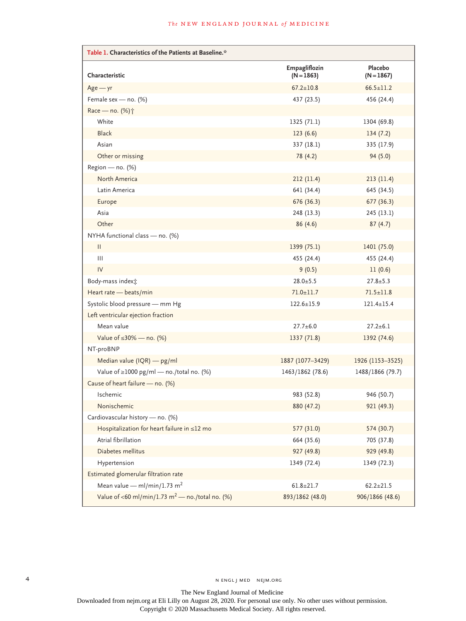| Table 1. Characteristics of the Patients at Baseline.*      |                               |                         |  |  |
|-------------------------------------------------------------|-------------------------------|-------------------------|--|--|
| Characteristic                                              | Empagliflozin<br>$(N = 1863)$ | Placebo<br>$(N = 1867)$ |  |  |
| $Age - yr$                                                  | $67.2 \pm 10.8$               | $66.5 \pm 11.2$         |  |  |
| Female sex - no. (%)                                        | 437 (23.5)                    | 456 (24.4)              |  |  |
| Race - no. (%) <sup>+</sup>                                 |                               |                         |  |  |
| White                                                       | 1325(71.1)                    | 1304 (69.8)             |  |  |
| <b>Black</b>                                                | 123(6.6)                      | 134(7.2)                |  |  |
| Asian                                                       | 337(18.1)                     | 335 (17.9)              |  |  |
| Other or missing                                            | 78 (4.2)                      | 94(5.0)                 |  |  |
| Region - no. (%)                                            |                               |                         |  |  |
| North America                                               | 212(11.4)                     | 213(11.4)               |  |  |
| Latin America                                               | 641 (34.4)                    | 645 (34.5)              |  |  |
| Europe                                                      | 676 (36.3)                    | 677 (36.3)              |  |  |
| Asia                                                        | 248 (13.3)                    | 245(13.1)               |  |  |
| Other                                                       | 86(4.6)                       | 87(4.7)                 |  |  |
| NYHA functional class - no. (%)                             |                               |                         |  |  |
| $\mathbf{H}$                                                | 1399 (75.1)                   | 1401 (75.0)             |  |  |
| $\mathbf{III}$                                              | 455 (24.4)                    | 455 (24.4)              |  |  |
| IV                                                          | 9(0.5)                        | 11(0.6)                 |  |  |
| Body-mass index;                                            | $28.0 + 5.5$                  | $27.8 + 5.3$            |  |  |
| Heart rate - beats/min                                      | $71.0 \pm 11.7$               | $71.5 \pm 11.8$         |  |  |
| Systolic blood pressure - mm Hg                             | $122.6 \pm 15.9$              | $121.4 \pm 15.4$        |  |  |
| Left ventricular ejection fraction                          |                               |                         |  |  |
| Mean value                                                  | $27.7 + 6.0$                  | $27.2 + 6.1$            |  |  |
| Value of ≤30% – no. (%)                                     | 1337 (71.8)                   | 1392 (74.6)             |  |  |
| NT-proBNP                                                   |                               |                         |  |  |
| Median value (IQR) - pg/ml                                  | 1887 (1077-3429)              | 1926 (1153-3525)        |  |  |
| Value of $\geq$ 1000 pg/ml — no./total no. (%)              | 1463/1862 (78.6)              | 1488/1866 (79.7)        |  |  |
| Cause of heart failure - no. (%)                            |                               |                         |  |  |
| Ischemic                                                    | 983 (52.8)                    | 946 (50.7)              |  |  |
| Nonischemic                                                 | 880 (47.2)                    | 921 (49.3)              |  |  |
| Cardiovascular history - no. (%)                            |                               |                         |  |  |
| Hospitalization for heart failure in ≤12 mo                 | 577 (31.0)                    | 574 (30.7)              |  |  |
| Atrial fibrillation                                         | 664 (35.6)                    | 705 (37.8)              |  |  |
| Diabetes mellitus                                           | 927 (49.8)                    | 929 (49.8)              |  |  |
| Hypertension                                                | 1349 (72.4)                   | 1349 (72.3)             |  |  |
| Estimated glomerular filtration rate                        |                               |                         |  |  |
| Mean value - ml/min/1.73 m <sup>2</sup>                     | $61.8 \pm 21.7$               | $62.2 \pm 21.5$         |  |  |
| Value of <60 ml/min/1.73 m <sup>2</sup> - no./total no. (%) | 893/1862 (48.0)               | 906/1866 (48.6)         |  |  |

The New England Journal of Medicine Downloaded from nejm.org at Eli Lilly on August 28, 2020. For personal use only. No other uses without permission.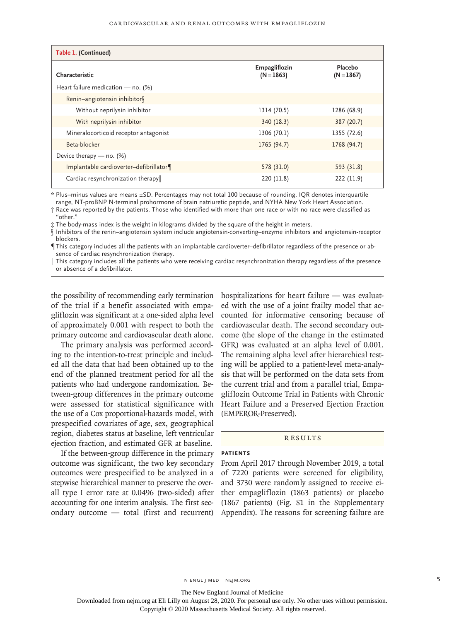| Table 1. (Continued)                    |                               |                         |  |  |
|-----------------------------------------|-------------------------------|-------------------------|--|--|
| Characteristic                          | Empagliflozin<br>$(N = 1863)$ | Placebo<br>$(N = 1867)$ |  |  |
| Heart failure medication - no. $(\%)$   |                               |                         |  |  |
| Renin-angiotensin inhibitor             |                               |                         |  |  |
| Without neprilysin inhibitor            | 1314 (70.5)                   | 1286 (68.9)             |  |  |
| With neprilysin inhibitor               | 340 (18.3)                    | 387 (20.7)              |  |  |
| Mineralocorticoid receptor antagonist   | 1306 (70.1)                   | 1355 (72.6)             |  |  |
| Beta-blocker                            | 1765 (94.7)                   | 1768(94.7)              |  |  |
| Device therapy — no. $(\%)$             |                               |                         |  |  |
| Implantable cardioverter-defibrillator¶ | 578 (31.0)                    | 593 (31.8)              |  |  |
| Cardiac resynchronization therapy       | 220 (11.8)                    | 222 (11.9)              |  |  |

\* Plus–minus values are means ±SD. Percentages may not total 100 because of rounding. IQR denotes interquartile range, NT-proBNP N-terminal prohormone of brain natriuretic peptide, and NYHA New York Heart Association.

† Race was reported by the patients. Those who identified with more than one race or with no race were classified as "other."

‡ The body-mass index is the weight in kilograms divided by the square of the height in meters.

§ Inhibitors of the renin–angiotensin system include angiotensin-converting–enzyme inhibitors and angiotensin-receptor blockers.

¶ This category includes all the patients with an implantable cardioverter–defibrillator regardless of the presence or absence of cardiac resynchronization therapy.

‖ This category includes all the patients who were receiving cardiac resynchronization therapy regardless of the presence or absence of a defibrillator.

the possibility of recommending early termination of the trial if a benefit associated with empagliflozin was significant at a one-sided alpha level of approximately 0.001 with respect to both the primary outcome and cardiovascular death alone.

The primary analysis was performed according to the intention-to-treat principle and included all the data that had been obtained up to the end of the planned treatment period for all the patients who had undergone randomization. Between-group differences in the primary outcome were assessed for statistical significance with the use of a Cox proportional-hazards model, with prespecified covariates of age, sex, geographical region, diabetes status at baseline, left ventricular ejection fraction, and estimated GFR at baseline.

If the between-group difference in the primary outcome was significant, the two key secondary outcomes were prespecified to be analyzed in a stepwise hierarchical manner to preserve the overall type I error rate at 0.0496 (two-sided) after accounting for one interim analysis. The first secondary outcome — total (first and recurrent)

hospitalizations for heart failure — was evaluated with the use of a joint frailty model that accounted for informative censoring because of cardiovascular death. The second secondary outcome (the slope of the change in the estimated GFR) was evaluated at an alpha level of 0.001. The remaining alpha level after hierarchical testing will be applied to a patient-level meta-analysis that will be performed on the data sets from the current trial and from a parallel trial, Empagliflozin Outcome Trial in Patients with Chronic Heart Failure and a Preserved Ejection Fraction (EMPEROR-Preserved).

#### **RESULTS**

#### **Patients**

From April 2017 through November 2019, a total of 7220 patients were screened for eligibility, and 3730 were randomly assigned to receive either empagliflozin (1863 patients) or placebo (1867 patients) (Fig. S1 in the Supplementary Appendix). The reasons for screening failure are

The New England Journal of Medicine

Downloaded from nejm.org at Eli Lilly on August 28, 2020. For personal use only. No other uses without permission.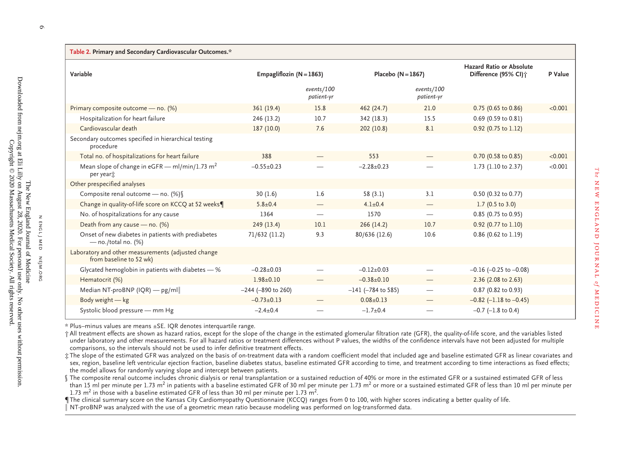| Variable                                                                      | Empagliflozin $(N = 1863)$ |                          | Placebo $(N=1867)$      |                          | <b>Hazard Ratio or Absolute</b><br>Difference (95% CI) ; | P Value |
|-------------------------------------------------------------------------------|----------------------------|--------------------------|-------------------------|--------------------------|----------------------------------------------------------|---------|
|                                                                               |                            | events/100<br>patient-yr |                         | events/100<br>patient-yr |                                                          |         |
| Primary composite outcome - no. (%)                                           | 361 (19.4)                 | 15.8                     | 462 (24.7)              | 21.0                     | 0.75 (0.65 to 0.86)                                      | < 0.001 |
| Hospitalization for heart failure                                             | 246 (13.2)                 | 10.7                     | 342 (18.3)              | 15.5                     | 0.69 (0.59 to 0.81)                                      |         |
| Cardiovascular death                                                          | 187(10.0)                  | 7.6                      | 202(10.8)               | 8.1                      | 0.92 (0.75 to 1.12)                                      |         |
| Secondary outcomes specified in hierarchical testing<br>procedure             |                            |                          |                         |                          |                                                          |         |
| Total no. of hospitalizations for heart failure                               | 388                        |                          | 553                     |                          | 0.70 (0.58 to 0.85)                                      | < 0.001 |
| Mean slope of change in eGFR — ml/min/1.73 m <sup>2</sup><br>per year:        | $-0.55 \pm 0.23$           |                          | $-2.28 \pm 0.23$        |                          | 1.73 (1.10 to 2.37)                                      | < 0.001 |
| Other prespecified analyses                                                   |                            |                          |                         |                          |                                                          |         |
| Composite renal outcome - no. (%)                                             | 30(1.6)                    | 1.6                      | 58(3.1)                 | 3.1                      | 0.50 (0.32 to 0.77)                                      |         |
| Change in quality-of-life score on KCCQ at 52 weeks                           | $5.8 \pm 0.4$              |                          | $4.1 \pm 0.4$           |                          | 1.7 (0.5 to 3.0)                                         |         |
| No. of hospitalizations for any cause                                         | 1364                       |                          | 1570                    |                          | 0.85 (0.75 to 0.95)                                      |         |
| Death from any cause - no. (%)                                                | 249(13.4)                  | 10.1                     | 266(14.2)               | 10.7                     | 0.92 (0.77 to 1.10)                                      |         |
| Onset of new diabetes in patients with prediabetes<br>$-$ no./total no. (%)   | 71/632 (11.2)              | 9.3                      | 80/636 (12.6)           | 10.6                     | 0.86 (0.62 to 1.19)                                      |         |
| Laboratory and other measurements (adjusted change<br>from baseline to 52 wk) |                            |                          |                         |                          |                                                          |         |
| Glycated hemoglobin in patients with diabetes $-$ %                           | $-0.28 + 0.03$             |                          | $-0.12 \pm 0.03$        |                          | $-0.16$ ( $-0.25$ to $-0.08$ )                           |         |
| Hematocrit (%)                                                                | $1.98 \pm 0.10$            |                          | $-0.38+0.10$            |                          | 2.36 (2.08 to 2.63)                                      |         |
| Median NT-proBNP (IQR) - pg/ml                                                | $-244$ ( $-890$ to 260)    |                          | $-141$ ( $-784$ to 585) |                          | 0.87 (0.82 to 0.93)                                      |         |
| Body weight - kg                                                              | $-0.73 \pm 0.13$           |                          | $0.08 \pm 0.13$         |                          | $-0.82$ (-1.18 to $-0.45$ )                              |         |
| Systolic blood pressure - mm Hg                                               | $-2.4 \pm 0.4$             |                          | $-1.7+0.4$              |                          | $-0.7$ (-1.8 to 0.4)                                     |         |

\* Plus–minus values are means ±SE. IQR denotes interquartile range.

† All treatment effects are shown as hazard ratios, except for the slope of the change in the estimated glomerular filtration rate (GFR), the quality-of-life score, and the variables listed under laboratory and other measurements. For all hazard ratios or treatment differences without P values, the widths of the confidence intervals have not been adjusted for multiple comparisons, so the intervals should not be used to infer definitive treatment effects.

‡ The slope of the estimated GFR was analyzed on the basis of on-treatment data with a random coefficient model that included age and baseline estimated GFR as linear covariates and sex, region, baseline left ventricular ejection fraction, baseline diabetes status, baseline estimated GFR according to time, and treatment according to time interactions as fixed effects; the model allows for randomly varying slope and intercept between patients.

§ The composite renal outcome includes chronic dialysis or renal transplantation or a sustained reduction of 40% or more in the estimated GFR or a sustained estimated GFR of less than 15 ml per minute per 1.73 m<sup>2</sup> in patients with a baseline estimated GFR of 30 ml per minute per 1.73 m<sup>2</sup> or more or a sustained estimated GFR of less than 10 ml per minute per 1.73  $m^2$  in those with a baseline estimated GFR of less than 30 ml per minute per 1.73  $m^2$ .

¶The clinical summary score on the Kansas City Cardiomyopathy Questionnaire (KCCQ) ranges from 0 to 100, with higher scores indicating a better quality of life.

‖ NT-proBNP was analyzed with the use of a geometric mean ratio because modeling was performed on log-transformed data.

n engl j med

Downloaded from nejm.org at Eli Lilly on August 28, 2020. For personal use only. No other uses without permission.<br>Copyright © 2020 Massachusetts Medical Society. All rights reserved. Downloaded from nejm.org at Eli Lilly on August 28, 2020. For personal use only. No other uses without permission. Copyright © 2020 Massachusetts Medical Society. All rights reserved. The New England Journal of Medicine The New England Journal of Medicine ENGL) MED

nejm.org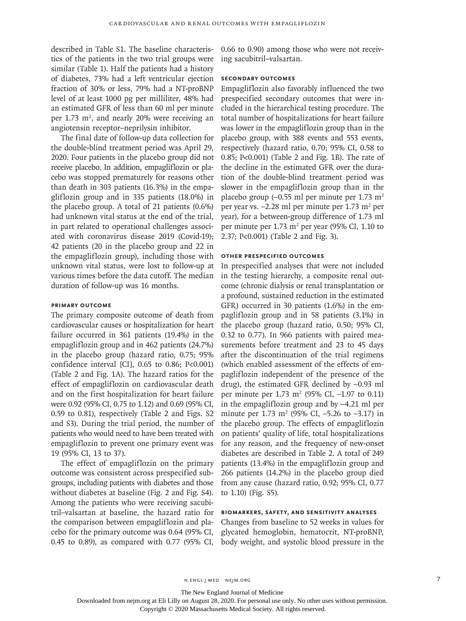described in Table S1. The baseline characteristics of the patients in the two trial groups were similar (Table 1). Half the patients had a history of diabetes, 73% had a left ventricular ejection fraction of 30% or less, 79% had a NT-proBNP level of at least 1000 pg per milliliter, 48% had an estimated GFR of less than 60 ml per minute per 1.73 m<sup>2</sup>, and nearly 20% were receiving an angiotensin receptor–neprilysin inhibitor.

The final date of follow-up data collection for the double-blind treatment period was April 29, 2020. Four patients in the placebo group did not receive placebo. In addition, empagliflozin or placebo was stopped prematurely for reasons other than death in 303 patients (16.3%) in the empagliflozin group and in 335 patients (18.0%) in the placebo group. A total of 21 patients (0.6%) had unknown vital status at the end of the trial, in part related to operational challenges associated with coronavirus disease 2019 (Covid-19); 42 patients (20 in the placebo group and 22 in the empagliflozin group), including those with unknown vital status, were lost to follow-up at various times before the data cutoff. The median duration of follow-up was 16 months.

# **Primary Outcome**

The primary composite outcome of death from cardiovascular causes or hospitalization for heart failure occurred in 361 patients (19.4%) in the empagliflozin group and in 462 patients (24.7%) in the placebo group (hazard ratio, 0.75; 95% confidence interval [CI], 0.65 to 0.86; P<0.001) (Table 2 and Fig. 1A). The hazard ratios for the effect of empagliflozin on cardiovascular death and on the first hospitalization for heart failure were 0.92 (95% CI, 0.75 to 1.12) and 0.69 (95% CI, 0.59 to 0.81), respectively (Table 2 and Figs. S2 and S3). During the trial period, the number of patients who would need to have been treated with empagliflozin to prevent one primary event was 19 (95% CI, 13 to 37).

The effect of empagliflozin on the primary outcome was consistent across prespecified subgroups, including patients with diabetes and those without diabetes at baseline (Fig. 2 and Fig. S4). Among the patients who were receiving sacubitril–valsartan at baseline, the hazard ratio for the comparison between empagliflozin and placebo for the primary outcome was 0.64 (95% CI, 0.45 to 0.89), as compared with 0.77 (95% CI, 0.66 to 0.90) among those who were not receiving sacubitril–valsartan.

# **Secondary Outcomes**

Empagliflozin also favorably influenced the two prespecified secondary outcomes that were included in the hierarchical testing procedure. The total number of hospitalizations for heart failure was lower in the empagliflozin group than in the placebo group, with 388 events and 553 events, respectively (hazard ratio, 0.70; 95% CI, 0.58 to 0.85; P<0.001) (Table 2 and Fig. 1B). The rate of the decline in the estimated GFR over the duration of the double-blind treatment period was slower in the empagliflozin group than in the placebo group  $(-0.55 \text{ ml})$  per minute per 1.73 m<sup>2</sup> per year vs.  $-2.28$  ml per minute per 1.73 m<sup>2</sup> per year), for a between-group difference of 1.73 ml per minute per 1.73  $m^2$  per year (95% CI, 1.10 to 2.37; P<0.001) (Table 2 and Fig. 3).

# **Other Prespecified Outcomes**

In prespecified analyses that were not included in the testing hierarchy, a composite renal outcome (chronic dialysis or renal transplantation or a profound, sustained reduction in the estimated GFR) occurred in 30 patients (1.6%) in the empagliflozin group and in 58 patients (3.1%) in the placebo group (hazard ratio, 0.50; 95% CI, 0.32 to 0.77). In 966 patients with paired measurements before treatment and 23 to 45 days after the discontinuation of the trial regimens (which enabled assessment of the effects of empagliflozin independent of the presence of the drug), the estimated GFR declined by –0.93 ml per minute per  $1.73 \text{ m}^2$  (95% CI,  $-1.97$  to 0.11) in the empagliflozin group and by –4.21 ml per minute per 1.73  $m^2$  (95% CI, -5.26 to -3.17) in the placebo group. The effects of empagliflozin on patients' quality of life, total hospitalizations for any reason, and the frequency of new-onset diabetes are described in Table 2. A total of 249 patients (13.4%) in the empagliflozin group and 266 patients (14.2%) in the placebo group died from any cause (hazard ratio, 0.92; 95% CI, 0.77 to 1.10) (Fig. S5).

# **Biomarkers, Safety, and Sensitivity Analyses**

Changes from baseline to 52 weeks in values for glycated hemoglobin, hematocrit, NT-proBNP, body weight, and systolic blood pressure in the

n engl j med nejm.org 7

The New England Journal of Medicine

Downloaded from nejm.org at Eli Lilly on August 28, 2020. For personal use only. No other uses without permission.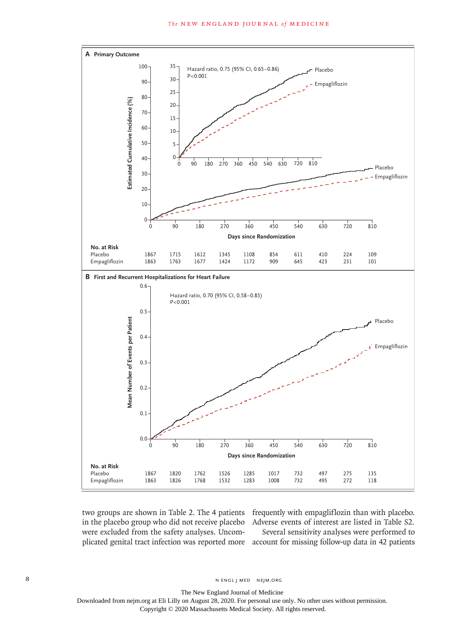

two groups are shown in Table 2. The 4 patients frequently with empagliflozin than with placebo. were excluded from the safety analyses. Uncom-

in the placebo group who did not receive placebo Adverse events of interest are listed in Table S2.

plicated genital tract infection was reported more account for missing follow-up data in 42 patients Several sensitivity analyses were performed to

8 N ENGL | MED NE| M.ORG

The New England Journal of Medicine

Downloaded from nejm.org at Eli Lilly on August 28, 2020. For personal use only. No other uses without permission.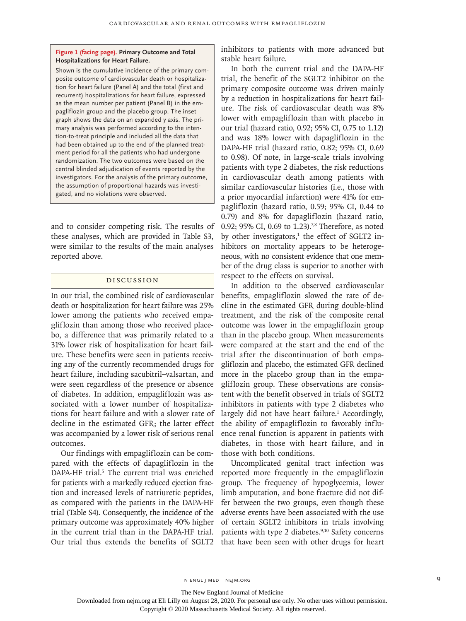# **Figure 1 (facing page). Primary Outcome and Total Hospitalizations for Heart Failure.**

Shown is the cumulative incidence of the primary composite outcome of cardiovascular death or hospitalization for heart failure (Panel A) and the total (first and recurrent) hospitalizations for heart failure, expressed as the mean number per patient (Panel B) in the empagliflozin group and the placebo group. The inset graph shows the data on an expanded y axis. The primary analysis was performed according to the intention-to-treat principle and included all the data that had been obtained up to the end of the planned treatment period for all the patients who had undergone randomization. The two outcomes were based on the central blinded adjudication of events reported by the investigators. For the analysis of the primary outcome, the assumption of proportional hazards was investigated, and no violations were observed.

and to consider competing risk. The results of these analyses, which are provided in Table S3, were similar to the results of the main analyses reported above.

# Discussion

In our trial, the combined risk of cardiovascular death or hospitalization for heart failure was 25% lower among the patients who received empagliflozin than among those who received placebo, a difference that was primarily related to a 31% lower risk of hospitalization for heart failure. These benefits were seen in patients receiving any of the currently recommended drugs for heart failure, including sacubitril–valsartan, and were seen regardless of the presence or absence of diabetes. In addition, empagliflozin was associated with a lower number of hospitalizations for heart failure and with a slower rate of decline in the estimated GFR; the latter effect was accompanied by a lower risk of serious renal outcomes.

Our findings with empagliflozin can be compared with the effects of dapagliflozin in the DAPA-HF trial.<sup>5</sup> The current trial was enriched for patients with a markedly reduced ejection fraction and increased levels of natriuretic peptides, as compared with the patients in the DAPA-HF trial (Table S4). Consequently, the incidence of the primary outcome was approximately 40% higher in the current trial than in the DAPA-HF trial. Our trial thus extends the benefits of SGLT2

inhibitors to patients with more advanced but stable heart failure.

In both the current trial and the DAPA-HF trial, the benefit of the SGLT2 inhibitor on the primary composite outcome was driven mainly by a reduction in hospitalizations for heart failure. The risk of cardiovascular death was 8% lower with empagliflozin than with placebo in our trial (hazard ratio, 0.92; 95% CI, 0.75 to 1.12) and was 18% lower with dapagliflozin in the DAPA-HF trial (hazard ratio, 0.82; 95% CI, 0.69 to 0.98). Of note, in large-scale trials involving patients with type 2 diabetes, the risk reductions in cardiovascular death among patients with similar cardiovascular histories (i.e., those with a prior myocardial infarction) were 41% for empagliflozin (hazard ratio, 0.59; 95% CI, 0.44 to 0.79) and 8% for dapagliflozin (hazard ratio, 0.92; 95% CI, 0.69 to 1.23).<sup>7,8</sup> Therefore, as noted by other investigators,<sup>1</sup> the effect of SGLT2 inhibitors on mortality appears to be heterogeneous, with no consistent evidence that one member of the drug class is superior to another with respect to the effects on survival.

In addition to the observed cardiovascular benefits, empagliflozin slowed the rate of decline in the estimated GFR during double-blind treatment, and the risk of the composite renal outcome was lower in the empagliflozin group than in the placebo group. When measurements were compared at the start and the end of the trial after the discontinuation of both empagliflozin and placebo, the estimated GFR declined more in the placebo group than in the empagliflozin group. These observations are consistent with the benefit observed in trials of SGLT2 inhibitors in patients with type 2 diabetes who largely did not have heart failure.<sup>1</sup> Accordingly, the ability of empagliflozin to favorably influence renal function is apparent in patients with diabetes, in those with heart failure, and in those with both conditions.

Uncomplicated genital tract infection was reported more frequently in the empagliflozin group. The frequency of hypoglycemia, lower limb amputation, and bone fracture did not differ between the two groups, even though these adverse events have been associated with the use of certain SGLT2 inhibitors in trials involving patients with type 2 diabetes.<sup>9,10</sup> Safety concerns that have been seen with other drugs for heart

The New England Journal of Medicine

Downloaded from nejm.org at Eli Lilly on August 28, 2020. For personal use only. No other uses without permission.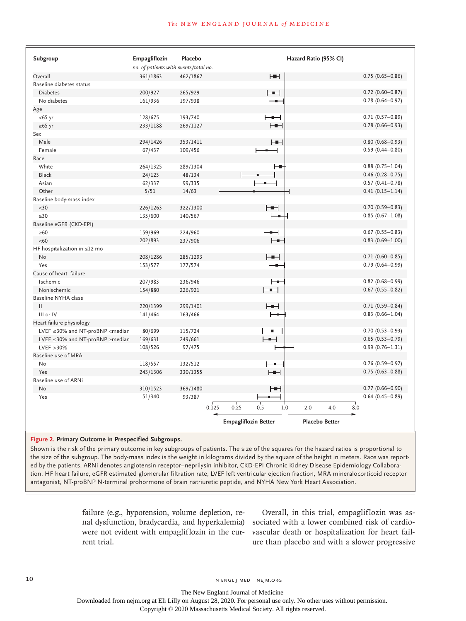#### **The NEW ENGLAND JOURNAL of MEDICINE**

| Subgroup                                                                                                                         | Empagliflozin                         | Placebo  |                             | Hazard Ratio (95% CI) |
|----------------------------------------------------------------------------------------------------------------------------------|---------------------------------------|----------|-----------------------------|-----------------------|
|                                                                                                                                  | no. of patients with events/total no. |          |                             |                       |
| Overall                                                                                                                          | 361/1863                              | 462/1867 | HН                          | $0.75(0.65 - 0.86)$   |
| Baseline diabetes status                                                                                                         |                                       |          |                             |                       |
| <b>Diabetes</b>                                                                                                                  | 200/927                               | 265/929  | ⊢⊷⊣                         | $0.72$ (0.60-0.87)    |
| No diabetes                                                                                                                      | 161/936                               | 197/938  | ⊢⊷                          | $0.78$ (0.64-0.97)    |
| Age                                                                                                                              |                                       |          |                             |                       |
| $<$ 65 yr                                                                                                                        | 128/675                               | 193/740  | ╺                           | $0.71(0.57 - 0.89)$   |
| $\geq 65$ yr                                                                                                                     | 233/1188                              | 269/1127 | ⊢∎⊣                         | $0.78(0.66 - 0.93)$   |
| Sex                                                                                                                              |                                       |          |                             |                       |
| Male                                                                                                                             | 294/1426                              | 353/1411 | ⊢∎⊣                         | $0.80(0.68 - 0.93)$   |
| Female                                                                                                                           | 67/437                                | 109/456  |                             | $0.59(0.44 - 0.80)$   |
| Race                                                                                                                             |                                       |          |                             |                       |
| White                                                                                                                            | 264/1325                              | 289/1304 |                             | $0.88(0.75 - 1.04)$   |
| <b>Black</b>                                                                                                                     | 24/123                                | 48/134   |                             | $0.46$ (0.28-0.75)    |
| Asian                                                                                                                            | 62/337                                | 99/335   |                             | $0.57(0.41 - 0.78)$   |
| Other                                                                                                                            | 5/51                                  | 14/63    |                             | $0.41(0.15 - 1.14)$   |
| Baseline body-mass index                                                                                                         |                                       |          |                             |                       |
| $<$ 30                                                                                                                           | 226/1263                              | 322/1300 | ⊢∎⊣                         | $0.70(0.59 - 0.83)$   |
| $\geq 30$                                                                                                                        | 135/600                               | 140/567  | –⊪                          | $0.85(0.67 - 1.08)$   |
| Baseline eGFR (CKD-EPI)                                                                                                          |                                       |          |                             |                       |
| $\geq 60$                                                                                                                        | 159/969                               | 224/960  | ⊢⊷⊣                         | $0.67(0.55 - 0.83)$   |
| <60                                                                                                                              | 202/893                               | 237/906  | ۰.                          | $0.83(0.69 - 1.00)$   |
| HF hospitalization in ≤12 mo                                                                                                     |                                       |          |                             |                       |
| No                                                                                                                               | 208/1286                              | 285/1293 | ⊢∎⊣                         | $0.71(0.60 - 0.85)$   |
| Yes                                                                                                                              | 153/577                               | 177/574  | ⊢                           | $0.79(0.64 - 0.99)$   |
| Cause of heart failure                                                                                                           |                                       |          |                             |                       |
| Ischemic                                                                                                                         | 207/983                               | 236/946  | ⊢∙                          | $0.82$ (0.68-0.99)    |
| Nonischemic                                                                                                                      | 154/880                               | 226/921  | ⊢⊷⊣                         | $0.67$ (0.55-0.82)    |
| Baseline NYHA class                                                                                                              |                                       |          |                             |                       |
| $\mathbf{H}$                                                                                                                     | 220/1399                              | 299/1401 | ⊢∎⊣                         | $0.71(0.59 - 0.84)$   |
| III or IV                                                                                                                        | 141/464                               | 163/466  |                             | $0.83$ (0.66-1.04)    |
| Heart failure physiology                                                                                                         |                                       |          |                             |                       |
| LVEF ≤30% and NT-proBNP <median< td=""><td>80/699</td><td>115/724</td><td></td><td><math>0.70(0.53 - 0.93)</math></td></median<> | 80/699                                | 115/724  |                             | $0.70(0.53 - 0.93)$   |
| LVEF ≤30% and NT-proBNP ≥median                                                                                                  | 169/631                               | 249/661  |                             | $0.65(0.53 - 0.79)$   |
| LVEF > 30%                                                                                                                       | 108/526                               | 97/475   | ⊣                           | $0.99(0.76 - 1.31)$   |
| Baseline use of MRA                                                                                                              |                                       |          |                             |                       |
| <b>No</b>                                                                                                                        | 118/557                               | 132/512  | ÷                           | $0.76$ (0.59-0.97)    |
| Yes                                                                                                                              | 243/1306                              | 330/1355 | ⊢∎⊣                         | $0.75(0.63 - 0.88)$   |
| Baseline use of ARNi                                                                                                             |                                       |          |                             |                       |
| <b>No</b>                                                                                                                        | 310/1523                              | 369/1480 | ⊢∎⊣                         | $0.77(0.66 - 0.90)$   |
| Yes                                                                                                                              | 51/340                                | 93/387   |                             | $0.64$ (0.45-0.89)    |
|                                                                                                                                  |                                       |          |                             |                       |
|                                                                                                                                  |                                       | 0.125    | 0.25<br>0.5<br>1.0          | 2.0<br>4.0<br>8.0     |
|                                                                                                                                  |                                       |          | <b>Empagliflozin Better</b> | <b>Placebo Better</b> |

# **Figure 2. Primary Outcome in Prespecified Subgroups.**

Shown is the risk of the primary outcome in key subgroups of patients. The size of the squares for the hazard ratios is proportional to the size of the subgroup. The body-mass index is the weight in kilograms divided by the square of the height in meters. Race was reported by the patients. ARNi denotes angiotensin receptor–neprilysin inhibitor, CKD-EPI Chronic Kidney Disease Epidemiology Collaboration, HF heart failure, eGFR estimated glomerular filtration rate, LVEF left ventricular ejection fraction, MRA mineralocorticoid receptor antagonist, NT-proBNP N-terminal prohormone of brain natriuretic peptide, and NYHA New York Heart Association.

> failure (e.g., hypotension, volume depletion, renal dysfunction, bradycardia, and hyperkalemia) were not evident with empagliflozin in the current trial.

Overall, in this trial, empagliflozin was associated with a lower combined risk of cardiovascular death or hospitalization for heart failure than placebo and with a slower progressive

10 N ENGL J MED NEJM.ORG

The New England Journal of Medicine

Downloaded from nejm.org at Eli Lilly on August 28, 2020. For personal use only. No other uses without permission.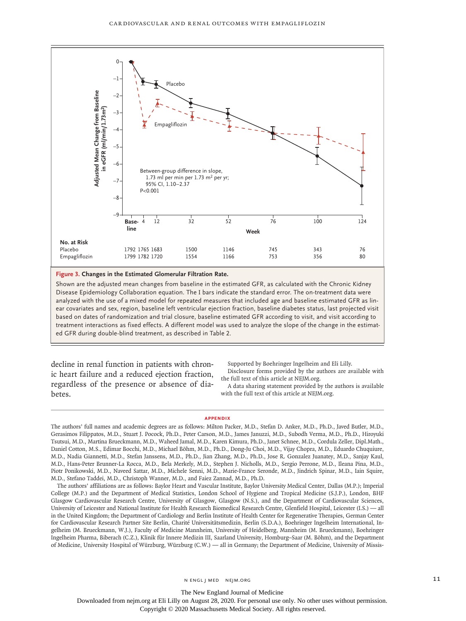

**Figure 3. Changes in the Estimated Glomerular Filtration Rate.**

Shown are the adjusted mean changes from baseline in the estimated GFR, as calculated with the Chronic Kidney Disease Epidemiology Collaboration equation. The I bars indicate the standard error. The on-treatment data were analyzed with the use of a mixed model for repeated measures that included age and baseline estimated GFR as linear covariates and sex, region, baseline left ventricular ejection fraction, baseline diabetes status, last projected visit based on dates of randomization and trial closure, baseline estimated GFR according to visit, and visit according to treatment interactions as fixed effects. A different model was used to analyze the slope of the change in the estimat-

decline in renal function in patients with chronic heart failure and a reduced ejection fraction, regardless of the presence or absence of diabetes.

Supported by Boehringer Ingelheim and Eli Lilly.

Disclosure forms provided by the authors are available with the full text of this article at NEJM.org.

A data sharing statement provided by the authors is available with the full text of this article at NEJM.org.

#### **Appendix**

The authors' full names and academic degrees are as follows: Milton Packer, M.D., Stefan D. Anker, M.D., Ph.D., Javed Butler, M.D., Gerasimos Filippatos, M.D., Stuart J. Pocock, Ph.D., Peter Carson, M.D., James Januzzi, M.D., Subodh Verma, M.D., Ph.D., Hiroyuki Tsutsui, M.D., Martina Brueckmann, M.D., Waheed Jamal, M.D., Karen Kimura, Ph.D., Janet Schnee, M.D., Cordula Zeller, Dipl.Math., Daniel Cotton, M.S., Edimar Bocchi, M.D., Michael Böhm, M.D., Ph.D., Dong-Ju Choi, M.D., Vijay Chopra, M.D., Eduardo Chuquiure, M.D., Nadia Giannetti, M.D., Stefan Janssens, M.D., Ph.D., Jian Zhang, M.D., Ph.D., Jose R. Gonzalez Juanatey, M.D., Sanjay Kaul, M.D., Hans-Peter Brunner-La Rocca, M.D., Bela Merkely, M.D., Stephen J. Nicholls, M.D., Sergio Perrone, M.D., Ileana Pina, M.D., Piotr Ponikowski, M.D., Naveed Sattar, M.D., Michele Senni, M.D., Marie-France Seronde, M.D., Jindrich Spinar, M.D., Iain Squire, M.D., Stefano Taddei, M.D., Christoph Wanner, M.D., and Faiez Zannad, M.D., Ph.D.

The authors' affiliations are as follows: Baylor Heart and Vascular Institute, Baylor University Medical Center, Dallas (M.P.); Imperial College (M.P.) and the Department of Medical Statistics, London School of Hygiene and Tropical Medicine (S.J.P.), London, BHF Glasgow Cardiovascular Research Centre, University of Glasgow, Glasgow (N.S.), and the Department of Cardiovascular Sciences, University of Leicester and National Institute for Health Research Biomedical Research Centre, Glenfield Hospital, Leicester (I.S.) — all in the United Kingdom; the Department of Cardiology and Berlin Institute of Health Center for Regenerative Therapies, German Center for Cardiovascular Research Partner Site Berlin, Charité Universitätsmedizin, Berlin (S.D.A.), Boehringer Ingelheim International, Ingelheim (M. Brueckmann, W.J.), Faculty of Medicine Mannheim, University of Heidelberg, Mannheim (M. Brueckmann), Boehringer Ingelheim Pharma, Biberach (C.Z.), Klinik für Innere Medizin III, Saarland University, Homburg–Saar (M. Böhm), and the Department of Medicine, University Hospital of Würzburg, Würzburg (C.W.) — all in Germany; the Department of Medicine, University of Missis-

n engl j med nejm.org 11

The New England Journal of Medicine

Downloaded from nejm.org at Eli Lilly on August 28, 2020. For personal use only. No other uses without permission.